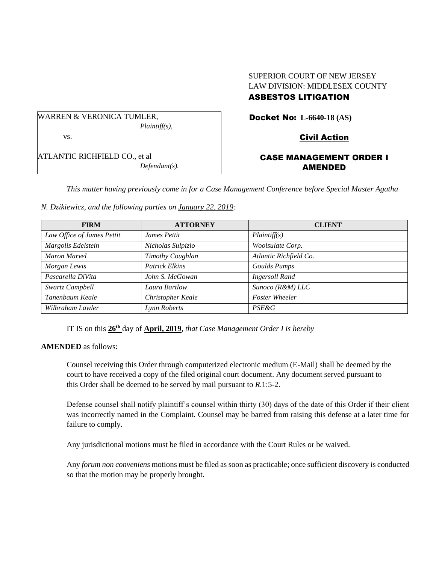## SUPERIOR COURT OF NEW JERSEY LAW DIVISION: MIDDLESEX COUNTY ASBESTOS LITIGATION

WARREN & VERONICA TUMLER, *Plaintiff(s),*

vs.

ATLANTIC RICHFIELD CO., et al *Defendant(s).*

# Docket No: **L-6640-18 (AS)**

Civil Action

## CASE MANAGEMENT ORDER I AMENDED

*This matter having previously come in for a Case Management Conference before Special Master Agatha* 

|  | N. Dzikiewicz, and the following parties on January 22, 2019: |  |  |  |
|--|---------------------------------------------------------------|--|--|--|
|--|---------------------------------------------------------------|--|--|--|

| <b>FIRM</b>                | <b>ATTORNEY</b>       | <b>CLIENT</b>          |
|----------------------------|-----------------------|------------------------|
| Law Office of James Pettit | James Pettit          | Plaintiff(s)           |
| Margolis Edelstein         | Nicholas Sulpizio     | Woolsulate Corp.       |
| Maron Marvel               | Timothy Coughlan      | Atlantic Richfield Co. |
| Morgan Lewis               | <b>Patrick Elkins</b> | <b>Goulds Pumps</b>    |
| Pascarella DiVita          | John S. McGowan       | <b>Ingersoll Rand</b>  |
| Swartz Campbell            | Laura Bartlow         | Sunoco (R&M) LLC       |
| Tanenbaum Keale            | Christopher Keale     | <b>Foster Wheeler</b>  |
| Wilbraham Lawler           | Lynn Roberts          | <b>PSE&amp;G</b>       |

IT IS on this  $26<sup>th</sup>$  day of April, 2019, *that Case Management Order I is hereby* 

### **AMENDED** as follows:

Counsel receiving this Order through computerized electronic medium (E-Mail) shall be deemed by the court to have received a copy of the filed original court document. Any document served pursuant to this Order shall be deemed to be served by mail pursuant to *R*.1:5-2.

Defense counsel shall notify plaintiff's counsel within thirty (30) days of the date of this Order if their client was incorrectly named in the Complaint. Counsel may be barred from raising this defense at a later time for failure to comply.

Any jurisdictional motions must be filed in accordance with the Court Rules or be waived.

Any *forum non conveniens* motions must be filed as soon as practicable; once sufficient discovery is conducted so that the motion may be properly brought.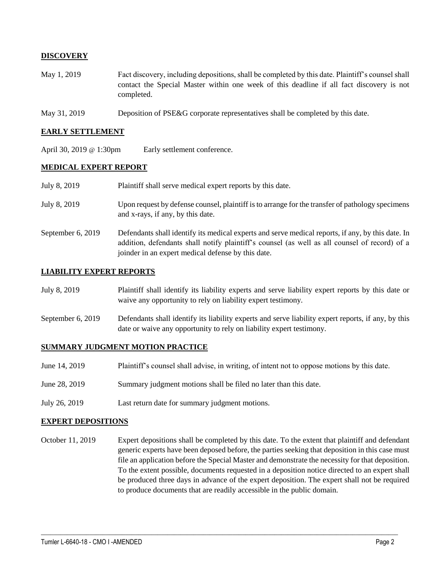### **DISCOVERY**

- May 1, 2019 Fact discovery, including depositions, shall be completed by this date. Plaintiff's counsel shall contact the Special Master within one week of this deadline if all fact discovery is not completed.
- May 31, 2019 Deposition of PSE&G corporate representatives shall be completed by this date.

#### **EARLY SETTLEMENT**

April 30, 2019 @ 1:30pm Early settlement conference.

#### **MEDICAL EXPERT REPORT**

| July 8, 2019      | Plaintiff shall serve medical expert reports by this date.                                                                                                                                                                                               |
|-------------------|----------------------------------------------------------------------------------------------------------------------------------------------------------------------------------------------------------------------------------------------------------|
| July 8, 2019      | Upon request by defense counsel, plaintiff is to arrange for the transfer of pathology specimens<br>and x-rays, if any, by this date.                                                                                                                    |
| September 6, 2019 | Defendants shall identify its medical experts and serve medical reports, if any, by this date. In<br>addition, defendants shall notify plaintiff's counsel (as well as all counsel of record) of a<br>joinder in an expert medical defense by this date. |

#### **LIABILITY EXPERT REPORTS**

- July 8, 2019 Plaintiff shall identify its liability experts and serve liability expert reports by this date or waive any opportunity to rely on liability expert testimony.
- September 6, 2019 Defendants shall identify its liability experts and serve liability expert reports, if any, by this date or waive any opportunity to rely on liability expert testimony.

#### **SUMMARY JUDGMENT MOTION PRACTICE**

- June 14, 2019 Plaintiff's counsel shall advise, in writing, of intent not to oppose motions by this date.
- June 28, 2019 Summary judgment motions shall be filed no later than this date.
- July 26, 2019 Last return date for summary judgment motions.

#### **EXPERT DEPOSITIONS**

October 11, 2019 Expert depositions shall be completed by this date. To the extent that plaintiff and defendant generic experts have been deposed before, the parties seeking that deposition in this case must file an application before the Special Master and demonstrate the necessity for that deposition. To the extent possible, documents requested in a deposition notice directed to an expert shall be produced three days in advance of the expert deposition. The expert shall not be required to produce documents that are readily accessible in the public domain.

 $\_$  , and the set of the set of the set of the set of the set of the set of the set of the set of the set of the set of the set of the set of the set of the set of the set of the set of the set of the set of the set of th